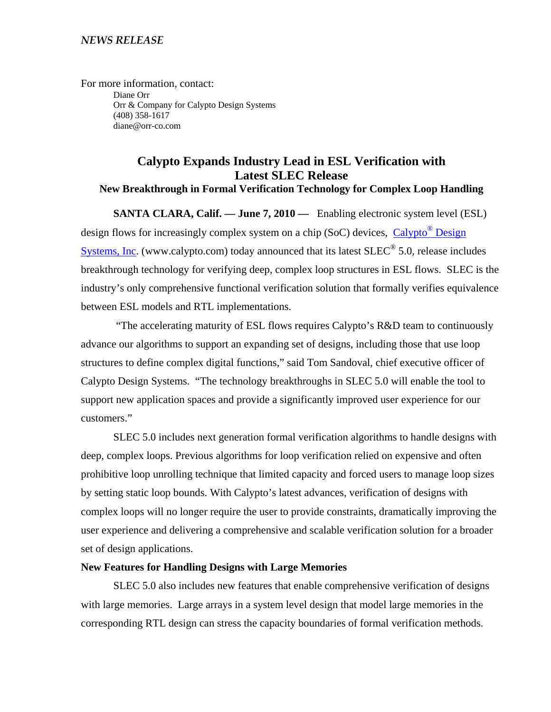For more information, contact: Diane Orr Orr & Company for Calypto Design Systems (408) 358-1617 diane@orr-co.com

# **Calypto Expands Industry Lead in ESL Verification with Latest SLEC Release New Breakthrough in Formal Verification Technology for Complex Loop Handling**

**SANTA CLARA, Calif. — June 7, 2010 —** Enabling electronic system level (ESL) design flows for increasingly complex system on a chip (SoC) devices, Calypto<sup>®</sup> Design Systems, Inc. (www.calypto.com) today announced that its latest SLEC® 5.0, release includes breakthrough technology for verifying deep, complex loop structures in ESL flows. SLEC is the industry's only comprehensive functional verification solution that formally verifies equivalence between ESL models and RTL implementations.

 "The accelerating maturity of ESL flows requires Calypto's R&D team to continuously advance our algorithms to support an expanding set of designs, including those that use loop structures to define complex digital functions," said Tom Sandoval, chief executive officer of Calypto Design Systems. "The technology breakthroughs in SLEC 5.0 will enable the tool to support new application spaces and provide a significantly improved user experience for our customers."

SLEC 5.0 includes next generation formal verification algorithms to handle designs with deep, complex loops. Previous algorithms for loop verification relied on expensive and often prohibitive loop unrolling technique that limited capacity and forced users to manage loop sizes by setting static loop bounds. With Calypto's latest advances, verification of designs with complex loops will no longer require the user to provide constraints, dramatically improving the user experience and delivering a comprehensive and scalable verification solution for a broader set of design applications.

#### **New Features for Handling Designs with Large Memories**

SLEC 5.0 also includes new features that enable comprehensive verification of designs with large memories. Large arrays in a system level design that model large memories in the corresponding RTL design can stress the capacity boundaries of formal verification methods.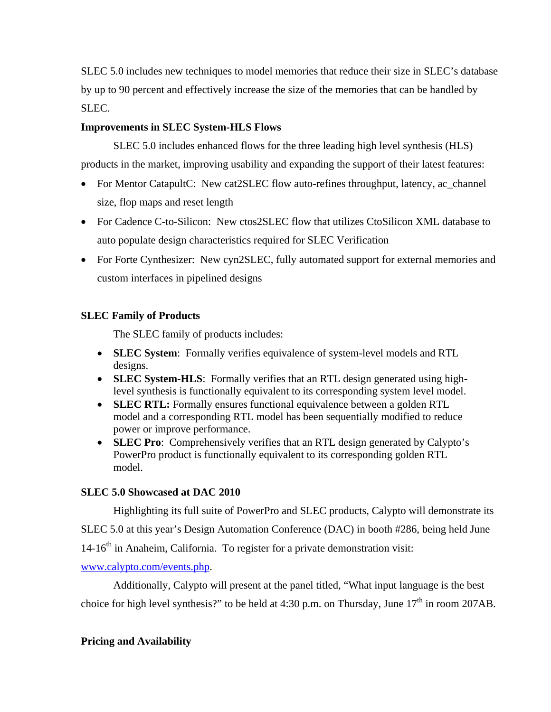SLEC 5.0 includes new techniques to model memories that reduce their size in SLEC's database by up to 90 percent and effectively increase the size of the memories that can be handled by SLEC.

#### **Improvements in SLEC System-HLS Flows**

SLEC 5.0 includes enhanced flows for the three leading high level synthesis (HLS) products in the market, improving usability and expanding the support of their latest features:

- For Mentor CatapultC: New cat2SLEC flow auto-refines throughput, latency, ac\_channel size, flop maps and reset length
- For Cadence C-to-Silicon: New ctos2SLEC flow that utilizes CtoSilicon XML database to auto populate design characteristics required for SLEC Verification
- For Forte Cynthesizer: New cyn2SLEC, fully automated support for external memories and custom interfaces in pipelined designs

## **SLEC Family of Products**

The SLEC family of products includes:

- **SLEC System**: Formally verifies equivalence of system-level models and RTL designs.
- **SLEC System-HLS**: Formally verifies that an RTL design generated using highlevel synthesis is functionally equivalent to its corresponding system level model.
- **SLEC RTL:** Formally ensures functional equivalence between a golden RTL model and a corresponding RTL model has been sequentially modified to reduce power or improve performance.
- **SLEC Pro**: Comprehensively verifies that an RTL design generated by Calypto's PowerPro product is functionally equivalent to its corresponding golden RTL model.

## **SLEC 5.0 Showcased at DAC 2010**

Highlighting its full suite of PowerPro and SLEC products, Calypto will demonstrate its

SLEC 5.0 at this year's Design Automation Conference (DAC) in booth #286, being held June

 $14-16<sup>th</sup>$  in Anaheim, California. To register for a private demonstration visit:

www.calypto.com/events.php.

Additionally, Calypto will present at the panel titled, "What input language is the best choice for high level synthesis?" to be held at 4:30 p.m. on Thursday, June  $17<sup>th</sup>$  in room 207AB.

## **Pricing and Availability**